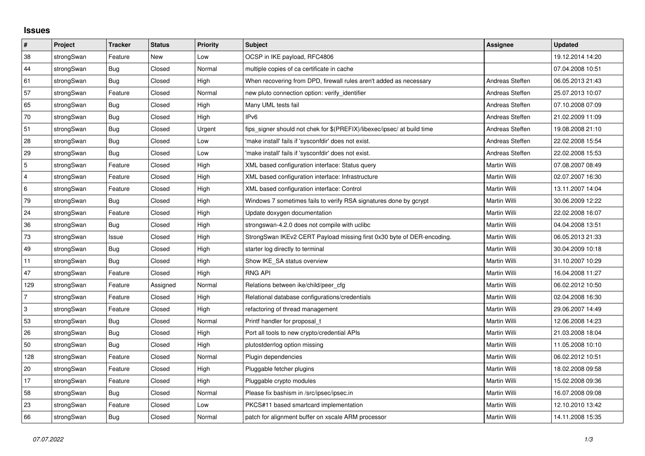## **Issues**

| $\vert$ #      | Project    | <b>Tracker</b> | <b>Status</b> | <b>Priority</b> | <b>Subject</b>                                                          | Assignee        | <b>Updated</b>   |
|----------------|------------|----------------|---------------|-----------------|-------------------------------------------------------------------------|-----------------|------------------|
| 38             | strongSwan | Feature        | New           | Low             | OCSP in IKE payload, RFC4806                                            |                 | 19.12.2014 14:20 |
| 44             | strongSwan | Bug            | Closed        | Normal          | multiple copies of ca certificate in cache                              |                 | 07.04.2008 10:51 |
| 61             | strongSwan | Bug            | Closed        | High            | When recovering from DPD, firewall rules aren't added as necessary      | Andreas Steffen | 06.05.2013 21:43 |
| 57             | strongSwan | Feature        | Closed        | Normal          | new pluto connection option: verify_identifier                          | Andreas Steffen | 25.07.2013 10:07 |
| 65             | strongSwan | Bug            | Closed        | High            | Many UML tests fail                                                     | Andreas Steffen | 07.10.2008 07:09 |
| 70             | strongSwan | Bug            | Closed        | High            | IP <sub>v6</sub>                                                        | Andreas Steffen | 21.02.2009 11:09 |
| 51             | strongSwan | <b>Bug</b>     | Closed        | Urgent          | fips_signer should not chek for \$(PREFIX)/libexec/ipsec/ at build time | Andreas Steffen | 19.08.2008 21:10 |
| 28             | strongSwan | <b>Bug</b>     | Closed        | Low             | 'make install' fails if 'sysconfdir' does not exist.                    | Andreas Steffen | 22.02.2008 15:54 |
| 29             | strongSwan | Bug            | Closed        | Low             | 'make install' fails if 'sysconfdir' does not exist.                    | Andreas Steffen | 22.02.2008 15:53 |
| $\overline{5}$ | strongSwan | Feature        | Closed        | High            | XML based configuration interface: Status query                         | Martin Willi    | 07.08.2007 08:49 |
| $\overline{4}$ | strongSwan | Feature        | Closed        | High            | XML based configuration interface: Infrastructure                       | Martin Willi    | 02.07.2007 16:30 |
| 6              | strongSwan | Feature        | Closed        | High            | XML based configuration interface: Control                              | Martin Willi    | 13.11.2007 14:04 |
| 79             | strongSwan | <b>Bug</b>     | Closed        | High            | Windows 7 sometimes fails to verify RSA signatures done by gcrypt       | Martin Willi    | 30.06.2009 12:22 |
| 24             | strongSwan | Feature        | Closed        | High            | Update doxygen documentation                                            | Martin Willi    | 22.02.2008 16:07 |
| 36             | strongSwan | Bug            | Closed        | High            | strongswan-4.2.0 does not compile with uclibc                           | Martin Willi    | 04.04.2008 13:51 |
| $73\,$         | strongSwan | Issue          | Closed        | High            | StrongSwan IKEv2 CERT Payload missing first 0x30 byte of DER-encoding.  | Martin Willi    | 06.05.2013 21:33 |
| 49             | strongSwan | <b>Bug</b>     | Closed        | High            | starter log directly to terminal                                        | Martin Willi    | 30.04.2009 10:18 |
| 11             | strongSwan | Bug            | Closed        | High            | Show IKE SA status overview                                             | Martin Willi    | 31.10.2007 10:29 |
| 47             | strongSwan | Feature        | Closed        | High            | <b>RNG API</b>                                                          | Martin Willi    | 16.04.2008 11:27 |
| 129            | strongSwan | Feature        | Assigned      | Normal          | Relations between ike/child/peer cfg                                    | Martin Willi    | 06.02.2012 10:50 |
| $\overline{7}$ | strongSwan | Feature        | Closed        | High            | Relational database configurations/credentials                          | Martin Willi    | 02.04.2008 16:30 |
| 3              | strongSwan | Feature        | Closed        | High            | refactoring of thread management                                        | Martin Willi    | 29.06.2007 14:49 |
| 53             | strongSwan | Bug            | Closed        | Normal          | Printf handler for proposal t                                           | Martin Willi    | 12.06.2008 14:23 |
| 26             | strongSwan | <b>Bug</b>     | Closed        | High            | Port all tools to new crypto/credential APIs                            | Martin Willi    | 21.03.2008 18:04 |
| 50             | strongSwan | Bug            | Closed        | High            | plutostderrlog option missing                                           | Martin Willi    | 11.05.2008 10:10 |
| 128            | strongSwan | Feature        | Closed        | Normal          | Plugin dependencies                                                     | Martin Willi    | 06.02.2012 10:51 |
| 20             | strongSwan | Feature        | Closed        | High            | Pluggable fetcher plugins                                               | Martin Willi    | 18.02.2008 09:58 |
| 17             | strongSwan | Feature        | Closed        | High            | Pluggable crypto modules                                                | Martin Willi    | 15.02.2008 09:36 |
| 58             | strongSwan | <b>Bug</b>     | Closed        | Normal          | Please fix bashism in /src/ipsec/ipsec.in                               | Martin Willi    | 16.07.2008 09:08 |
| 23             | strongSwan | Feature        | Closed        | Low             | PKCS#11 based smartcard implementation                                  | Martin Willi    | 12.10.2010 13:42 |
| 66             | strongSwan | Bug            | Closed        | Normal          | patch for alignment buffer on xscale ARM processor                      | Martin Willi    | 14.11.2008 15:35 |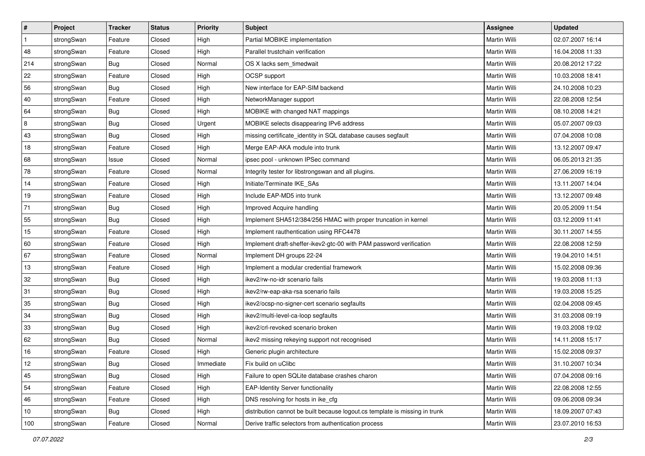| #              | Project    | <b>Tracker</b> | <b>Status</b> | <b>Priority</b> | <b>Subject</b>                                                              | <b>Assignee</b>     | <b>Updated</b>   |
|----------------|------------|----------------|---------------|-----------------|-----------------------------------------------------------------------------|---------------------|------------------|
| $\mathbf{1}$   | strongSwan | Feature        | Closed        | High            | Partial MOBIKE implementation                                               | Martin Willi        | 02.07.2007 16:14 |
| 48             | strongSwan | Feature        | Closed        | High            | Parallel trustchain verification                                            | <b>Martin Willi</b> | 16.04.2008 11:33 |
| 214            | strongSwan | Bug            | Closed        | Normal          | OS X lacks sem timedwait                                                    | Martin Willi        | 20.08.2012 17:22 |
| 22             | strongSwan | Feature        | Closed        | High            | OCSP support                                                                | Martin Willi        | 10.03.2008 18:41 |
| 56             | strongSwan | Bug            | Closed        | High            | New interface for EAP-SIM backend                                           | Martin Willi        | 24.10.2008 10:23 |
| 40             | strongSwan | Feature        | Closed        | High            | NetworkManager support                                                      | Martin Willi        | 22.08.2008 12:54 |
| 64             | strongSwan | Bug            | Closed        | High            | MOBIKE with changed NAT mappings                                            | Martin Willi        | 08.10.2008 14:21 |
| $\overline{8}$ | strongSwan | Bug            | Closed        | Urgent          | MOBIKE selects disappearing IPv6 address                                    | Martin Willi        | 05.07.2007 09:03 |
| 43             | strongSwan | Bug            | Closed        | High            | missing certificate_identity in SQL database causes segfault                | Martin Willi        | 07.04.2008 10:08 |
| 18             | strongSwan | Feature        | Closed        | High            | Merge EAP-AKA module into trunk                                             | <b>Martin Willi</b> | 13.12.2007 09:47 |
| 68             | strongSwan | Issue          | Closed        | Normal          | ipsec pool - unknown IPSec command                                          | Martin Willi        | 06.05.2013 21:35 |
| 78             | strongSwan | Feature        | Closed        | Normal          | Integrity tester for libstrongswan and all plugins.                         | Martin Willi        | 27.06.2009 16:19 |
| 14             | strongSwan | Feature        | Closed        | High            | Initiate/Terminate IKE_SAs                                                  | <b>Martin Willi</b> | 13.11.2007 14:04 |
| 19             | strongSwan | Feature        | Closed        | High            | Include EAP-MD5 into trunk                                                  | Martin Willi        | 13.12.2007 09:48 |
| 71             | strongSwan | Bug            | Closed        | High            | Improved Acquire handling                                                   | <b>Martin Willi</b> | 20.05.2009 11:54 |
| 55             | strongSwan | <b>Bug</b>     | Closed        | High            | Implement SHA512/384/256 HMAC with proper truncation in kernel              | Martin Willi        | 03.12.2009 11:41 |
| 15             | strongSwan | Feature        | Closed        | High            | Implement rauthentication using RFC4478                                     | <b>Martin Willi</b> | 30.11.2007 14:55 |
| 60             | strongSwan | Feature        | Closed        | High            | Implement draft-sheffer-ikev2-gtc-00 with PAM password verification         | Martin Willi        | 22.08.2008 12:59 |
| 67             | strongSwan | Feature        | Closed        | Normal          | Implement DH groups 22-24                                                   | Martin Willi        | 19.04.2010 14:51 |
| 13             | strongSwan | Feature        | Closed        | High            | Implement a modular credential framework                                    | <b>Martin Willi</b> | 15.02.2008 09:36 |
| 32             | strongSwan | Bug            | Closed        | High            | ikev2/rw-no-idr scenario fails                                              | Martin Willi        | 19.03.2008 11:13 |
| 31             | strongSwan | <b>Bug</b>     | Closed        | High            | ikev2/rw-eap-aka-rsa scenario fails                                         | Martin Willi        | 19.03.2008 15:25 |
| 35             | strongSwan | Bug            | Closed        | High            | ikev2/ocsp-no-signer-cert scenario segfaults                                | Martin Willi        | 02.04.2008 09:45 |
| 34             | strongSwan | Bug            | Closed        | High            | ikev2/multi-level-ca-loop segfaults                                         | Martin Willi        | 31.03.2008 09:19 |
| 33             | strongSwan | <b>Bug</b>     | Closed        | High            | ikev2/crl-revoked scenario broken                                           | Martin Willi        | 19.03.2008 19:02 |
| 62             | strongSwan | Bug            | Closed        | Normal          | ikev2 missing rekeying support not recognised                               | Martin Willi        | 14.11.2008 15:17 |
| 16             | strongSwan | Feature        | Closed        | High            | Generic plugin architecture                                                 | Martin Willi        | 15.02.2008 09:37 |
| 12             | strongSwan | <b>Bug</b>     | Closed        | Immediate       | Fix build on uClibc                                                         | Martin Willi        | 31.10.2007 10:34 |
| 45             | strongSwan | Bug            | Closed        | High            | Failure to open SQLite database crashes charon                              | Martin Willi        | 07.04.2008 09:16 |
| 54             | strongSwan | Feature        | Closed        | High            | <b>EAP-Identity Server functionality</b>                                    | Martin Willi        | 22.08.2008 12:55 |
| 46             | strongSwan | Feature        | Closed        | High            | DNS resolving for hosts in ike cfg                                          | Martin Willi        | 09.06.2008 09:34 |
| 10             | strongSwan | Bug            | Closed        | High            | distribution cannot be built because logout.cs template is missing in trunk | Martin Willi        | 18.09.2007 07:43 |
| 100            | strongSwan | Feature        | Closed        | Normal          | Derive traffic selectors from authentication process                        | Martin Willi        | 23.07.2010 16:53 |